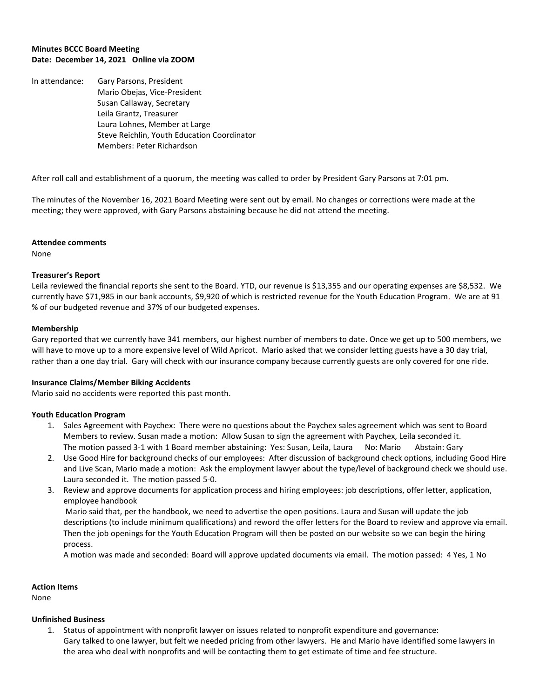### **Minutes BCCC Board Meeting Date: December 14, 2021 Online via ZOOM**

In attendance: Gary Parsons, President Mario Obejas, Vice-President Susan Callaway, Secretary Leila Grantz, Treasurer Laura Lohnes, Member at Large Steve Reichlin, Youth Education Coordinator Members: Peter Richardson

After roll call and establishment of a quorum, the meeting was called to order by President Gary Parsons at 7:01 pm.

The minutes of the November 16, 2021 Board Meeting were sent out by email. No changes or corrections were made at the meeting; they were approved, with Gary Parsons abstaining because he did not attend the meeting.

### **Attendee comments**

None

# **Treasurer's Report**

Leila reviewed the financial reports she sent to the Board. YTD, our revenue is \$13,355 and our operating expenses are \$8,532. We currently have \$71,985 in our bank accounts, \$9,920 of which is restricted revenue for the Youth Education Program. We are at 91 % of our budgeted revenue and 37% of our budgeted expenses.

### **Membership**

Gary reported that we currently have 341 members, our highest number of members to date. Once we get up to 500 members, we will have to move up to a more expensive level of Wild Apricot. Mario asked that we consider letting guests have a 30 day trial, rather than a one day trial. Gary will check with our insurance company because currently guests are only covered for one ride.

# **Insurance Claims/Member Biking Accidents**

Mario said no accidents were reported this past month.

# **Youth Education Program**

- 1. Sales Agreement with Paychex: There were no questions about the Paychex sales agreement which was sent to Board Members to review. Susan made a motion: Allow Susan to sign the agreement with Paychex, Leila seconded it. The motion passed 3-1 with 1 Board member abstaining: Yes: Susan, Leila, Laura No: Mario Abstain: Gary
- 2. Use Good Hire for background checks of our employees: After discussion of background check options, including Good Hire and Live Scan, Mario made a motion: Ask the employment lawyer about the type/level of background check we should use. Laura seconded it. The motion passed 5-0.
- 3. Review and approve documents for application process and hiring employees: job descriptions, offer letter, application, employee handbook

Mario said that, per the handbook, we need to advertise the open positions. Laura and Susan will update the job descriptions (to include minimum qualifications) and reword the offer letters for the Board to review and approve via email. Then the job openings for the Youth Education Program will then be posted on our website so we can begin the hiring process.

A motion was made and seconded: Board will approve updated documents via email. The motion passed: 4 Yes, 1 No

### **Action Items**

None

#### **Unfinished Business**

1. Status of appointment with nonprofit lawyer on issues related to nonprofit expenditure and governance: Gary talked to one lawyer, but felt we needed pricing from other lawyers. He and Mario have identified some lawyers in the area who deal with nonprofits and will be contacting them to get estimate of time and fee structure.